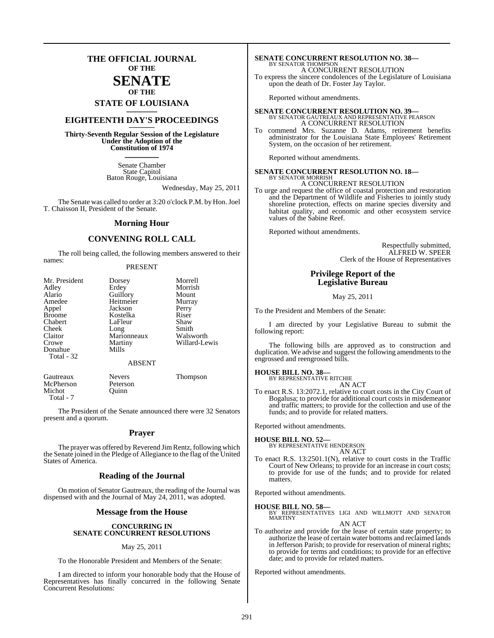### **THE OFFICIAL JOURNAL OF THE**

### **SENATE OF THE**

## **STATE OF LOUISIANA \_\_\_\_\_\_\_**

### **EIGHTEENTH DAY'S PROCEEDINGS \_\_\_\_\_\_\_**

**Thirty-Seventh Regular Session of the Legislature Under the Adoption of the Constitution of 1974 \_\_\_\_\_\_\_**

> Senate Chamber State Capitol Baton Rouge, Louisiana

> > Wednesday, May 25, 2011

The Senate was called to order at 3:20 o'clock P.M. by Hon. Joel T. Chaisson II, President of the Senate.

### **Morning Hour**

### **CONVENING ROLL CALL**

The roll being called, the following members answered to their names:

### PRESENT

| Mr. President<br>Adley<br>Alario<br>Amedee<br>Appel<br><b>Broome</b><br>Chabert<br>Cheek<br>Claitor<br>Crowe<br>Donahue<br>Total - 32 | Dorsey<br>Erdey<br>Guillory<br>Heitmeier<br>Jackson<br>Kostelka<br>LaFleur<br>Long<br>Marionneaux<br>Martiny<br>Mills<br><b>ABSENT</b> | Morrell<br>Morrish<br>Mount<br>Murray<br>Perry<br>Riser<br>Shaw<br>Smith<br>Walsworth<br>Willard-Lewis |
|---------------------------------------------------------------------------------------------------------------------------------------|----------------------------------------------------------------------------------------------------------------------------------------|--------------------------------------------------------------------------------------------------------|
|                                                                                                                                       |                                                                                                                                        |                                                                                                        |
| Gautreaux                                                                                                                             | <b>Nevers</b>                                                                                                                          | Thompson                                                                                               |

The President of the Senate announced there were 32 Senators present and a quorum.

McPherson Peterson<br>Michot Ouinn

Michot Total - 7

### **Prayer**

The prayer was offered by Reverend Jim Rentz, following which the Senate joined in the Pledge of Allegiance to the flag of the United States of America.

### **Reading of the Journal**

On motion of Senator Gautreaux, the reading of the Journal was dispensed with and the Journal of May 24, 2011, was adopted.

### **Message from the House**

### **CONCURRING IN SENATE CONCURRENT RESOLUTIONS**

#### May 25, 2011

To the Honorable President and Members of the Senate:

I am directed to inform your honorable body that the House of Representatives has finally concurred in the following Senate Concurrent Resolutions:

### **SENATE CONCURRENT RESOLUTION NO. 38—** BY SENATOR THOMPSON

A CONCURRENT RESOLUTION

To express the sincere condolences of the Legislature of Louisiana upon the death of Dr. Foster Jay Taylor.

Reported without amendments.

### **SENATE CONCURRENT RESOLUTION NO. 39—** BY SENATOR GAUTREAUX AND REPRESENTATIVE PEARSON A CONCURRENT RESOLUTION

To commend Mrs. Suzanne D. Adams, retirement benefits administrator for the Louisiana State Employees' Retirement System, on the occasion of her retirement.

Reported without amendments.

#### **SENATE CONCURRENT RESOLUTION NO. 18—** BY SENATOR MORRISH

A CONCURRENT RESOLUTION

To urge and request the office of coastal protection and restoration and the Department of Wildlife and Fisheries to jointly study shoreline protection, effects on marine species diversity and habitat quality, and economic and other ecosystem service values of the Sabine Reef.

Reported without amendments.

Respectfully submitted, ALFRED W. SPEER Clerk of the House of Representatives

### **Privilege Report of the Legislative Bureau**

May 25, 2011

To the President and Members of the Senate:

I am directed by your Legislative Bureau to submit the following report:

The following bills are approved as to construction and duplication. We advise and suggest the following amendments to the engrossed and reengrossed bills.

#### **HOUSE BILL NO. 38—**

BY REPRESENTATIVE RITCHIE

- AN ACT
- To enact R.S. 13:2072.1, relative to court costs in the City Court of Bogalusa; to provide for additional court costs in misdemeanor and traffic matters; to provide for the collection and use of the funds; and to provide for related matters.

Reported without amendments.

### **HOUSE BILL NO. 52—**

BY REPRESENTATIVE HENDERSON

AN ACT To enact R.S. 13:2501.1(N), relative to court costs in the Traffic Court of New Orleans; to provide for an increase in court costs; to provide for use of the funds; and to provide for related

Reported without amendments.

matters.

**HOUSE BILL NO. 58—** BY REPRESENTATIVES LIGI AND WILLMOTT AND SENATOR MARTINY

### AN ACT

To authorize and provide for the lease of certain state property; to authorize the lease of certain water bottoms and reclaimed lands in Jefferson Parish; to provide for reservation of mineral rights; to provide for terms and conditions; to provide for an effective date; and to provide for related matters.

Reported without amendments.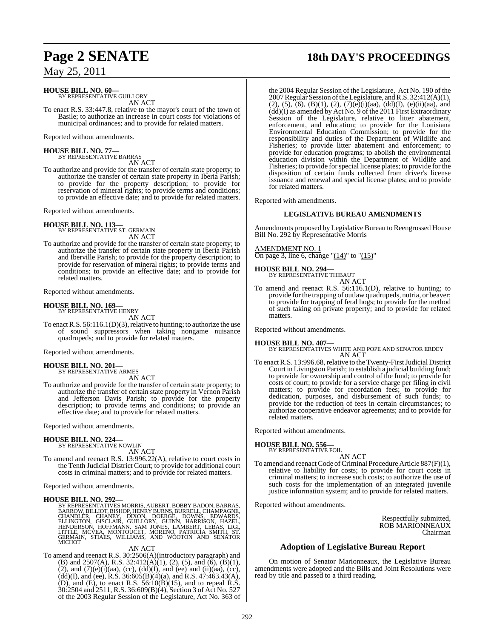### **HOUSE BILL NO. 60—**

BY REPRESENTATIVE GUILLORY AN ACT

To enact R.S. 33:447.8, relative to the mayor's court of the town of Basile; to authorize an increase in court costs for violations of municipal ordinances; and to provide for related matters.

Reported without amendments.

### **HOUSE BILL NO. 77—**

BY REPRESENTATIVE BARRAS AN ACT

To authorize and provide for the transfer of certain state property; to authorize the transfer of certain state property in Iberia Parish; to provide for the property description; to provide for reservation of mineral rights; to provide terms and conditions; to provide an effective date; and to provide for related matters.

Reported without amendments.

**HOUSE BILL NO. 113—** BY REPRESENTATIVE ST. GERMAIN AN ACT

To authorize and provide for the transfer of certain state property; to authorize the transfer of certain state property in Iberia Parish and Iberville Parish; to provide for the property description; to provide for reservation of mineral rights; to provide terms and conditions; to provide an effective date; and to provide for related matters.

Reported without amendments.

#### **HOUSE BILL NO. 169—** BY REPRESENTATIVE HENRY

AN ACT

To enact R.S.  $56:116.1(D)(3)$ , relative to hunting; to authorize the use of sound suppressors when taking nongame nuisance quadrupeds; and to provide for related matters.

Reported without amendments.

**HOUSE BILL NO. 201—** BY REPRESENTATIVE ARMES

AN ACT To authorize and provide for the transfer of certain state property; to authorize the transfer of certain state property in Vernon Parish and Jefferson Davis Parish; to provide for the property description; to provide terms and conditions; to provide an effective date; and to provide for related matters.

Reported without amendments.

### **HOUSE BILL NO. 224—**

BY REPRESENTATIVE NOWLIN

AN ACT

To amend and reenact R.S. 13:996.22(A), relative to court costs in the Tenth Judicial District Court; to provide for additional court costs in criminal matters; and to provide for related matters.

Reported without amendments.

### **HOUSE BILL NO. 292—**

BY REPRESENTATIVES MORRIS, AUBERT, BOBBY BADON, BARRAS, BARROW,BILLIOT,BISHOP, HENRY BURNS,BURRELL,CHAMPAGNE, CHANDLÉR, CHANEY, DIXON, DOERGÉ, DOWNS, EDWARDS,<br>ELLINGTON, GISCLAIR, GUILLÓRY, GUINN, HARRISON, HAZEL,<br>HENDERSON, HOFFMANN, SAM JONES, LAMBERT, LEBAS, LIGI,<br>LITTLE, MCVEA, MONTOUCET, MORENO, PATRICÍA SMITH, ST.<br>GERMAIN, S

### AN ACT

To amend and reenact R.S. 30:2506(A)(introductory paragraph) and (B) and 2507(A), R.S. 32:412(A)(1), (2), (5), and (6),  $(B)(1)$ , (2), and  $(7)(e)(i)(aa)$ ,  $(cc)$ ,  $(dd)(I)$ , and  $(ee)$  and  $(ii)(aa)$ ,  $(cc)$ ,  $(dd)(I)$ , and (ee), R.S. 36:605(B)(4)(a), and R.S. 47:463.43(A), (D), and (E), to enact R.S.  $56:10(B)(15)$ , and to repeal R.S. 30:2504 and 2511, R.S. 36:609(B)(4), Section 3 of Act No. 527 of the 2003 Regular Session of the Legislature, Act No. 363 of

## **Page 2 SENATE 18th DAY'S PROCEEDINGS**

the 2004 Regular Session of the Legislature, Act No. 190 of the 2007 Regular Session of the Legislature, and R.S. 32:412(A)(1), (2), (5), (6), (B)(1), (2), (7)(e)(i)(aa), (dd)(I), (e)(ii)(aa), and  $\overline{(dd)}$ (I) as amended by Act No. 9 of the 2011 First Extraordinary Session of the Legislature, relative to litter abatement, enforcement, and education; to provide for the Louisiana Environmental Education Commission; to provide for the responsibility and duties of the Department of Wildlife and Fisheries; to provide litter abatement and enforcement; to provide for education programs; to abolish the environmental education division within the Department of Wildlife and Fisheries; to provide for special license plates; to provide for the disposition of certain funds collected from driver's license issuance and renewal and special license plates; and to provide for related matters.

Reported with amendments.

### **LEGISLATIVE BUREAU AMENDMENTS**

Amendments proposed by Legislative Bureau to Reengrossed House Bill No. 292 by Representative Morris

### AMENDMENT NO. 1

On page 3, line 6, change "(14)" to "(15)"

### **HOUSE BILL NO. 294—** BY REPRESENTATIVE THIBAUT

AN ACT

To amend and reenact R.S. 56:116.1(D), relative to hunting; to provide for the trapping of outlaw quadrupeds, nutria, or beaver; to provide for trapping of feral hogs; to provide for the method of such taking on private property; and to provide for related matters.

Reported without amendments.

### **HOUSE BILL NO. 407—**

BY REPRESENTATIVES WHITE AND POPE AND SENATOR ERDEY AN ACT

To enact R.S. 13:996.68, relative to the Twenty-First Judicial District Court in Livingston Parish; to establish a judicial building fund; to provide for ownership and control of the fund; to provide for costs of court; to provide for a service charge per filing in civil matters; to provide for recordation fees; to provide for dedication, purposes, and disbursement of such funds; to provide for the reduction of fees in certain circumstances; to authorize cooperative endeavor agreements; and to provide for related matters.

Reported without amendments.

### **HOUSE BILL NO. 556—**

BY REPRESENTATIVE FOIL AN ACT

To amend and reenact Code of Criminal Procedure Article 887(F)(1), relative to liability for costs; to provide for court costs in criminal matters; to increase such costs; to authorize the use of such costs for the implementation of an integrated juvenile justice information system; and to provide for related matters.

Reported without amendments.

Respectfully submitted, ROB MARIONNEAUX Chairman

### **Adoption of Legislative Bureau Report**

On motion of Senator Marionneaux, the Legislative Bureau amendments were adopted and the Bills and Joint Resolutions were read by title and passed to a third reading.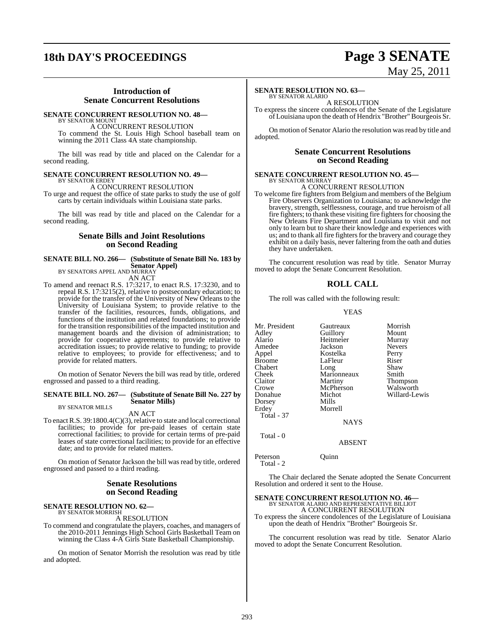## **18th DAY'S PROCEEDINGS Page 3 SENATE**

# May 25, 2011

### **Introduction of Senate Concurrent Resolutions**

### **SENATE CONCURRENT RESOLUTION NO. 48—**

BY SENATOR MOUNT A CONCURRENT RESOLUTION To commend the St. Louis High School baseball team on winning the 2011 Class 4A state championship.

The bill was read by title and placed on the Calendar for a second reading.

### **SENATE CONCURRENT RESOLUTION NO. 49—**

BY SENATOR ERDEY A CONCURRENT RESOLUTION

To urge and request the office of state parks to study the use of golf carts by certain individuals within Louisiana state parks.

The bill was read by title and placed on the Calendar for a second reading.

### **Senate Bills and Joint Resolutions on Second Reading**

### **SENATE BILL NO. 266— (Substitute of Senate Bill No. 183 by Senator Appel)** BY SENATORS APPEL AND MURRAY

AN ACT

To amend and reenact R.S. 17:3217, to enact R.S. 17:3230, and to repeal R.S. 17:3215(2), relative to postsecondary education; to provide for the transfer of the University of New Orleans to the University of Louisiana System; to provide relative to the transfer of the facilities, resources, funds, obligations, and functions of the institution and related foundations; to provide for the transition responsibilities of the impacted institution and management boards and the division of administration; to provide for cooperative agreements; to provide relative to accreditation issues; to provide relative to funding; to provide relative to employees; to provide for effectiveness; and to provide for related matters.

On motion of Senator Nevers the bill was read by title, ordered engrossed and passed to a third reading.

#### **SENATE BILL NO. 267— (Substitute of Senate Bill No. 227 by Senator Mills)** BY SENATOR MILLS

### AN ACT

To enact R.S.  $39:1800.4(C)(3)$ , relative to state and local correctional facilities; to provide for pre-paid leases of certain state correctional facilities; to provide for certain terms of pre-paid leases of state correctional facilities; to provide for an effective date; and to provide for related matters.

On motion of Senator Jackson the bill was read by title, ordered engrossed and passed to a third reading.

### **Senate Resolutions on Second Reading**

**SENATE RESOLUTION NO. 62—**

BY SENATOR MORRISH A RESOLUTION

To commend and congratulate the players, coaches, and managers of the 2010-2011 Jennings High School Girls Basketball Team on winning the Class 4-A Girls State Basketball Championship.

On motion of Senator Morrish the resolution was read by title and adopted.

### **SENATE RESOLUTION NO. 63—**

BY SENATOR ALARIO A RESOLUTION

To express the sincere condolences of the Senate of the Legislature of Louisiana upon the death of Hendrix "Brother"Bourgeois Sr.

On motion of Senator Alario the resolution was read by title and adopted.

### **Senate Concurrent Resolutions on Second Reading**

#### **SENATE CONCURRENT RESOLUTION NO. 45—** BY SENATOR MURRAY

A CONCURRENT RESOLUTION

To welcome fire fighters from Belgium and members of the Belgium Fire Observers Organization to Louisiana; to acknowledge the bravery, strength, selflessness, courage, and true heroism of all fire fighters; to thank these visiting fire fighters for choosing the New Orleans Fire Department and Louisiana to visit and not only to learn but to share their knowledge and experiences with us; and to thank all fire fighters for the bravery and courage they exhibit on a daily basis, never faltering from the oath and duties they have undertaken.

The concurrent resolution was read by title. Senator Murray moved to adopt the Senate Concurrent Resolution.

### **ROLL CALL**

The roll was called with the following result:

### YEAS

| Mr. President<br>Adley<br>Alario<br>Amedee<br>Appel<br>Broome<br>Chabert<br>Cheek<br>Claitor<br>Crowe<br>Donahue | Gautreaux<br>Guillory<br>Heitmeier<br>Jackson<br>Kostelka<br>LaFleur<br>Long<br>Marionneaux<br>Martiny<br>McPherson<br>Michot | Morrish<br>Mount<br>Murray<br><b>Nevers</b><br>Perry<br>Riser<br>Shaw<br>Smith<br>Thompson<br>Walsworth<br>Willard-Lewis |
|------------------------------------------------------------------------------------------------------------------|-------------------------------------------------------------------------------------------------------------------------------|--------------------------------------------------------------------------------------------------------------------------|
| Dorsey                                                                                                           | Mills                                                                                                                         |                                                                                                                          |
| Erdev<br><b>Total - 37</b>                                                                                       | Morrell<br><b>NAYS</b>                                                                                                        |                                                                                                                          |
| Total - 0                                                                                                        | <b>ABSENT</b>                                                                                                                 |                                                                                                                          |

Peterson Quinn Total - 2

The Chair declared the Senate adopted the Senate Concurrent Resolution and ordered it sent to the House.

## **SENATE CONCURRENT RESOLUTION NO. 46—** BY SENATOR ALARIO AND REPRESENTATIVE BILLIOT

A CONCURRENT RESOLUTION

To express the sincere condolences of the Legislature of Louisiana upon the death of Hendrix "Brother" Bourgeois Sr.

The concurrent resolution was read by title. Senator Alario moved to adopt the Senate Concurrent Resolution.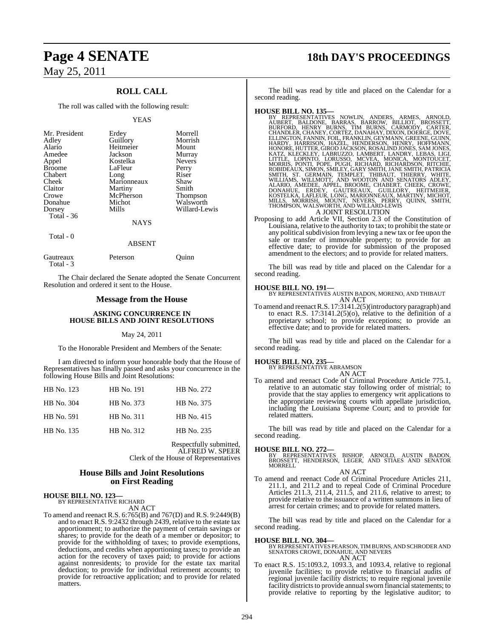### **ROLL CALL**

The roll was called with the following result:

#### YEAS

| Mr. President<br>Adley<br>Alario<br>Amedee<br>Appel<br><b>Broome</b><br>Chabert<br>Cheek<br>Claitor<br>Crowe<br>Donahue<br>Dorsey<br>Total $-36$ | Erdey<br>Guillory<br>Heitmeier<br>Jackson<br>Kostelka<br>LaFleur<br>Long<br>Marionneaux<br>Martiny<br>McPherson<br>Michot<br>Mills<br><b>NAYS</b> | Morrell<br>Morrish<br>Mount<br>Murray<br><b>Nevers</b><br>Perry<br>Riser<br>Shaw<br>Smith<br>Thompson<br>Walsworth<br>Willard-Lewis |
|--------------------------------------------------------------------------------------------------------------------------------------------------|---------------------------------------------------------------------------------------------------------------------------------------------------|-------------------------------------------------------------------------------------------------------------------------------------|
| Total - 0                                                                                                                                        |                                                                                                                                                   |                                                                                                                                     |
|                                                                                                                                                  | ABSENT                                                                                                                                            |                                                                                                                                     |

| Gautreaux<br>Total - 3 | Peterson | Ouinn |
|------------------------|----------|-------|
|                        |          |       |

The Chair declared the Senate adopted the Senate Concurrent Resolution and ordered it sent to the House.

### **Message from the House**

#### **ASKING CONCURRENCE IN HOUSE BILLS AND JOINT RESOLUTIONS**

#### May 24, 2011

To the Honorable President and Members of the Senate:

I am directed to inform your honorable body that the House of Representatives has finally passed and asks your concurrence in the following House Bills and Joint Resolutions:

| HB No. 123 | HB No. 191 | HB No. 272 |
|------------|------------|------------|
| HB No. 304 | HB No. 373 | HB No. 375 |
| HB No. 591 | HB No. 311 | HB No. 415 |
| HB No. 135 | HB No. 312 | HB No. 235 |

Respectfully submitted, ALFRED W. SPEER Clerk of the House of Representatives

### **House Bills and Joint Resolutions on First Reading**

#### **HOUSE BILL NO. 123—** BY REPRESENTATIVE RICHARD

AN ACT

To amend and reenact R.S. 6:765(B) and 767(D) and R.S. 9:2449(B) and to enact R.S. 9:2432 through 2439, relative to the estate tax apportionment; to authorize the payment of certain savings or shares; to provide for the death of a member or depositor; to provide for the withholding of taxes; to provide exemptions, deductions, and credits when apportioning taxes; to provide an action for the recovery of taxes paid; to provide for actions against nonresidents; to provide for the estate tax marital deduction; to provide for individual retirement accounts; to provide for retroactive application; and to provide for related matters.

## **Page 4 SENATE 18th DAY'S PROCEEDINGS**

The bill was read by title and placed on the Calendar for a second reading.

HOUSE BILL NO. 135—<br>
BY REPRESENTATIVES NOWLIN, ANDERS, ARMES, ARNOLD,<br>
AUBERT, BALDONE, BARRAS, BARROW, BILLIOT, BROSSETT,<br>
BURFORD, HENRY BURNS, TIM BURNS, CARMODY, CARTER,<br>
CHANDLER, CHANEY, CORTEZ, DANAHAY, DIXON, DOER

Proposing to add Article VII, Section 2.3 of the Constitution of Louisiana, relative to the authority to tax; to prohibit the state or any political subdivision from levying a new tax or fee upon the sale or transfer of immovable property; to provide for an effective date; to provide for submission of the proposed amendment to the electors; and to provide for related matters.

The bill was read by title and placed on the Calendar for a second reading.

**HOUSE BILL NO. 191—** BY REPRESENTATIVES AUSTIN BADON, MORENO, AND THIBAUT AN ACT

To amend and reenact R.S. 17:3141.2(5)(introductory paragraph) and to enact R.S. 17:3141.2(5)(o), relative to the definition of a proprietary school; to provide exceptions; to provide an effective date; and to provide for related matters.

The bill was read by title and placed on the Calendar for a second reading.

### **HOUSE BILL NO. 235—**

BY REPRESENTATIVE ABRAMSON

AN ACT To amend and reenact Code of Criminal Procedure Article 775.1, relative to an automatic stay following order of mistrial; to provide that the stay applies to emergency writ applications to the appropriate reviewing courts with appellate jurisdiction, including the Louisiana Supreme Court; and to provide for related matters.

The bill was read by title and placed on the Calendar for a second reading.

**HOUSE BILL NO. 272—** BY REPRESENTATIVES BISHOP, ARNOLD, AUSTIN BADON, BROSSETT, HENDERSON, LEGER, AND STIAES AND SENATOR MORRELL AN ACT

To amend and reenact Code of Criminal Procedure Articles 211, 211.1, and 211.2 and to repeal Code of Criminal Procedure Articles 211.3, 211.4, 211.5, and 211.6, relative to arrest; to provide relative to the issuance of a written summons in lieu of arrest for certain crimes; and to provide for related matters.

The bill was read by title and placed on the Calendar for a second reading.

**HOUSE BILL NO. 304—** BY REPRESENTATIVES PEARSON, TIM BURNS, AND SCHRODER AND SENATORS CROWE, DONAHUE, AND NEVERS AN ACT

To enact R.S. 15:1093.2, 1093.3, and 1093.4, relative to regional juvenile facilities; to provide relative to financial audits of regional juvenile facility districts; to require regional juvenile facility districts to provide annual sworn financial statements; to provide relative to reporting by the legislative auditor; to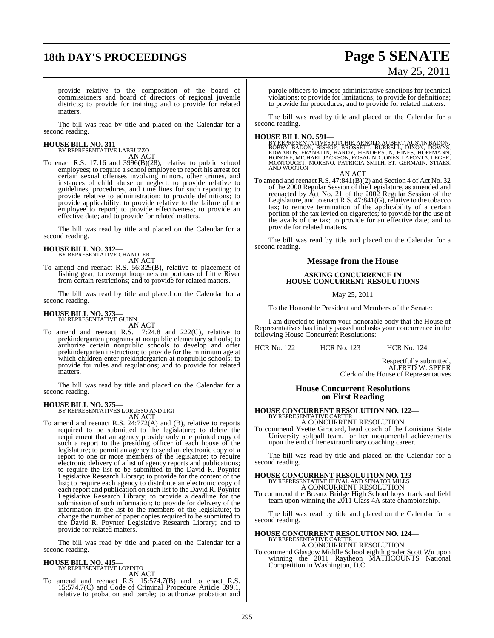## **18th DAY'S PROCEEDINGS Page 5 SENATE**

# May 25, 2011

provide relative to the composition of the board of commissioners and board of directors of regional juvenile districts; to provide for training; and to provide for related matters.

The bill was read by title and placed on the Calendar for a second reading.

# **HOUSE BILL NO. 311—** BY REPRESENTATIVE LABRUZZO AN ACT

To enact R.S. 17:16 and  $3996(B)(28)$ , relative to public school employees; to require a school employee to report his arrest for certain sexual offenses involving minors, other crimes, and instances of child abuse or neglect; to provide relative to guidelines, procedures, and time lines for such reporting; to provide relative to administration; to provide definitions; to provide applicability; to provide relative to the failure of the employee to report; to provide effectiveness; to provide an effective date; and to provide for related matters.

The bill was read by title and placed on the Calendar for a second reading.

### **HOUSE BILL NO. 312—** BY REPRESENTATIVE CHANDLER

AN ACT

To amend and reenact R.S. 56:329(B), relative to placement of fishing gear; to exempt hoop nets on portions of Little River from certain restrictions; and to provide for related matters.

The bill was read by title and placed on the Calendar for a second reading.

### **HOUSE BILL NO. 373—** BY REPRESENTATIVE GUINN

AN ACT

To amend and reenact R.S. 17:24.8 and 222(C), relative to prekindergarten programs at nonpublic elementary schools; to authorize certain nonpublic schools to develop and offer prekindergarten instruction; to provide for the minimum age at which children enter prekindergarten at nonpublic schools; to provide for rules and regulations; and to provide for related matters.

The bill was read by title and placed on the Calendar for a second reading.

### **HOUSE BILL NO. 375—** BY REPRESENTATIVES LORUSSO AND LIGI

AN ACT

To amend and reenact R.S. 24:772(A) and (B), relative to reports required to be submitted to the legislature; to delete the requirement that an agency provide only one printed copy of such a report to the presiding officer of each house of the legislature; to permit an agency to send an electronic copy of a report to one or more members of the legislature; to require electronic delivery of a list of agency reports and publications; to require the list to be submitted to the David R. Poynter Legislative Research Library; to provide for the content of the list; to require each agency to distribute an electronic copy of each report and publication on such list to the David R. Poynter Legislative Research Library; to provide a deadline for the submission of such information; to provide for delivery of the information in the list to the members of the legislature; to change the number of paper copies required to be submitted to the David R. Poynter Legislative Research Library; and to provide for related matters.

The bill was read by title and placed on the Calendar for a second reading.

### **HOUSE BILL NO. 415—** BY REPRESENTATIVE LOPINTO

AN ACT

To amend and reenact R.S. 15:574.7(B) and to enact R.S. 15:574.7(C) and Code of Criminal Procedure Article 899.1, relative to probation and parole; to authorize probation and parole officers to impose administrative sanctions for technical violations; to provide for limitations; to provide for definitions; to provide for procedures; and to provide for related matters.

The bill was read by title and placed on the Calendar for a second reading.

**HOUSE BILL NO. 591—**<br>BY REPRESENTATIVES RITCHIE, ARNOLD, AUBERT, AUSTIN BADON, BOWNS, BADON, BISHOP, BROŚSETT, BURRELL, DIXON, DOWNS,<br>EDWARDS, FRANKLIN, HARDY, HENDERSON, HINES, HOFFMANN,<br>HONORE, MICHAEL JACKSON, ROSALIND MONTOUCET, MORENO, PATRICIA SMITH, ST. GERMAIN, STIAES, AND WOOTON

AN ACT

To amend and reenact R.S. 47:841(B)(2) and Section 4 of Act No. 32 of the 2000 Regular Session of the Legislature, as amended and reenacted by Act No. 21 of the 2002 Regular Session of the Legislature, and to enact R.S. 47:841(G), relative to the tobacco tax; to remove termination of the applicability of a certain portion of the tax levied on cigarettes; to provide for the use of the avails of the tax; to provide for an effective date; and to provide for related matters.

The bill was read by title and placed on the Calendar for a second reading.

### **Message from the House**

### **ASKING CONCURRENCE IN HOUSE CONCURRENT RESOLUTIONS**

May 25, 2011

To the Honorable President and Members of the Senate:

I am directed to inform your honorable body that the House of Representatives has finally passed and asks your concurrence in the following House Concurrent Resolutions:

HCR No. 122 HCR No. 123 HCR No. 124

Respectfully submitted, ALFRED W. SPEER Clerk of the House of Representatives

### **House Concurrent Resolutions on First Reading**

## **HOUSE CONCURRENT RESOLUTION NO. 122—** BY REPRESENTATIVE CARTER

A CONCURRENT RESOLUTION

To commend Yvette Girouard, head coach of the Louisiana State University softball team, for her monumental achievements upon the end of her extraordinary coaching career.

The bill was read by title and placed on the Calendar for a second reading.

# **HOUSE CONCURRENT RESOLUTION NO. 123—** BY REPRESENTATIVE HUVAL AND SENATOR MILLS A CONCURRENT RESOLUTION

To commend the Breaux Bridge High School boys' track and field team upon winning the 2011 Class 4A state championship.

The bill was read by title and placed on the Calendar for a second reading.

# **HOUSE CONCURRENT RESOLUTION NO. 124—** BY REPRESENTATIVE CARTER A CONCURRENT RESOLUTION

To commend Glasgow Middle School eighth grader Scott Wu upon winning the 2011 Raytheon MATHCOUNTS National Competition in Washington, D.C.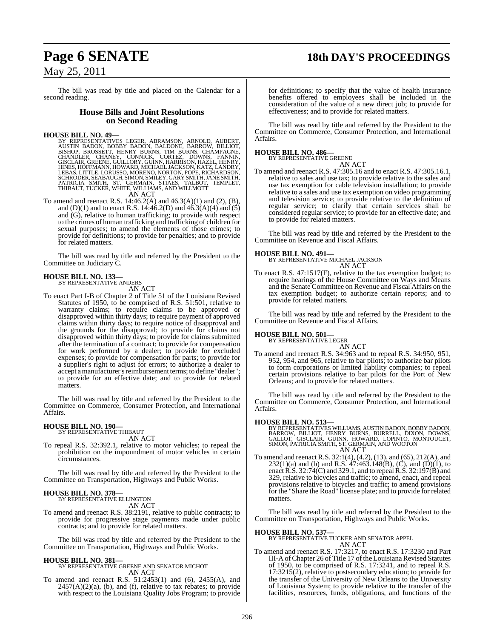## **Page 6 SENATE 18th DAY'S PROCEEDINGS**

May 25, 2011

The bill was read by title and placed on the Calendar for a second reading.

### **House Bills and Joint Resolutions on Second Reading**

### **HOUSE BILL NO. 49—**

BY REPRESENTATIVES LEGER, ABRAMSON, ARNOLD, AUBERT, AUSTIN BADON, BOBBY BADON, BALDONE, BARROW, BILHOT, BISHOP, BISHOP, BROSSETT, HENRY BURNS, TIM BURNS, CHAMPAGNE, CHANDLER, CHANEY, CONNICK, CORTEZ, DOWNS, FANNIN, GISCLAI

To amend and reenact R.S. 14:46.2(A) and 46.3(A)(1) and (2), (B), and (D)(1) and to enact R.S. 14:46.2(D) and 46.3(A)(4) and (5) and  $(G)$ , relative to human trafficking; to provide with respect to the crimes of human trafficking and trafficking of children for sexual purposes; to amend the elements of those crimes; to provide for definitions; to provide for penalties; and to provide for related matters.

The bill was read by title and referred by the President to the Committee on Judiciary C.

### **HOUSE BILL NO. 133—** BY REPRESENTATIVE ANDERS

AN ACT

To enact Part I-B of Chapter 2 of Title 51 of the Louisiana Revised Statutes of 1950, to be comprised of R.S. 51:501, relative to warranty claims; to require claims to be approved or disapproved within thirty days; to require payment of approved claims within thirty days; to require notice of disapproval and the grounds for the disapproval; to provide for claims not disapproved within thirty days; to provide for claims submitted after the termination of a contract; to provide for compensation for work performed by a dealer; to provide for excluded expenses; to provide for compensation for parts; to provide for a supplier's right to adjust for errors; to authorize a dealer to accept a manufacturer's reimbursement terms; to define "dealer"; to provide for an effective date; and to provide for related matters.

The bill was read by title and referred by the President to the Committee on Commerce, Consumer Protection, and International Affairs.

## **HOUSE BILL NO. 190—** BY REPRESENTATIVE THIBAUT

AN ACT

To repeal R.S. 32:392.1, relative to motor vehicles; to repeal the prohibition on the impoundment of motor vehicles in certain circumstances.

The bill was read by title and referred by the President to the Committee on Transportation, Highways and Public Works.

### **HOUSE BILL NO. 378—**

BY REPRESENTATIVE ELLINGTON

- AN ACT
- To amend and reenact R.S. 38:2191, relative to public contracts; to provide for progressive stage payments made under public contracts; and to provide for related matters.

The bill was read by title and referred by the President to the Committee on Transportation, Highways and Public Works.

### **HOUSE BILL NO. 381—**

BY REPRESENTATIVE GREENE AND SENATOR MICHOT AN ACT

To amend and reenact R.S. 51:2453(1) and (6), 2455(A), and  $2457(A)(2)(a)$ , (b), and (f), relative to tax rebates; to provide with respect to the Louisiana Quality Jobs Program; to provide

for definitions; to specify that the value of health insurance benefits offered to employees shall be included in the consideration of the value of a new direct job; to provide for effectiveness; and to provide for related matters.

The bill was read by title and referred by the President to the Committee on Commerce, Consumer Protection, and International Affairs.

### **HOUSE BILL NO. 486—** BY REPRESENTATIVE GREENE



To amend and reenact R.S. 47:305.16 and to enact R.S. 47:305.16.1, relative to sales and use tax; to provide relative to the sales and use tax exemption for cable television installation; to provide relative to a sales and use tax exemption on video programming and television service; to provide relative to the definition of regular service; to clarify that certain services shall be considered regular service; to provide for an effective date; and to provide for related matters.

The bill was read by title and referred by the President to the Committee on Revenue and Fiscal Affairs.

**HOUSE BILL NO. 491—** BY REPRESENTATIVE MICHAEL JACKSON AN ACT

To enact R.S. 47:1517(F), relative to the tax exemption budget; to require hearings of the House Committee on Ways and Means and the Senate Committee on Revenue and Fiscal Affairs on the tax exemption budget; to authorize certain reports; and to provide for related matters.

The bill was read by title and referred by the President to the Committee on Revenue and Fiscal Affairs.

### **HOUSE BILL NO. 501—**

BY REPRESENTATIVE LEGER

Orleans; and to provide for related matters.

AN ACT To amend and reenact R.S. 34:963 and to repeal R.S. 34:950, 951, 952, 954, and 965, relative to bar pilots; to authorize bar pilots to form corporations or limited liability companies; to repeal certain provisions relative to bar pilots for the Port of New

The bill was read by title and referred by the President to the Committee on Commerce, Consumer Protection, and International Affairs.

### **HOUSE BILL NO. 513—**

BY REPRESENTATIVES WILLIAMS, AUSTIN BADON, BOBBY BADON,<br>BARROW, BILLIOT, HENRY BURNS, BURRELL, DIXON, DOWNS,<br>GALLOT, GISCLAIR, GUINN, HOWARD, LOPINTO, MONTOUCET,<br>SIMON, PATRICIA SMITH, ST. GERMAIN, AND WOOTON AN ACT

To amend and reenact R.S. 32:1(4), (4.2), (13), and (65), 212(A), and  $232(1)(a)$  and (b) and R.S. 47:463.148(B), (C), and (D)(1), to enactR.S. 32:74(C) and 329.1, and to repealR.S. 32:197(B) and 329, relative to bicycles and traffic; to amend, enact, and repeal provisions relative to bicycles and traffic; to amend provisions for the "Share the Road" license plate; and to provide for related matters.

The bill was read by title and referred by the President to the Committee on Transportation, Highways and Public Works.

**HOUSE BILL NO. 537—** BY REPRESENTATIVE TUCKER AND SENATOR APPEL AN ACT

To amend and reenact R.S. 17:3217, to enact R.S. 17:3230 and Part III-A of Chapter 26 of Title 17 of the Louisiana Revised Statutes of 1950, to be comprised of R.S. 17:3241, and to repeal R.S. 17:3215(2), relative to postsecondary education; to provide for the transfer of the University of New Orleans to the University of Louisiana System; to provide relative to the transfer of the facilities, resources, funds, obligations, and functions of the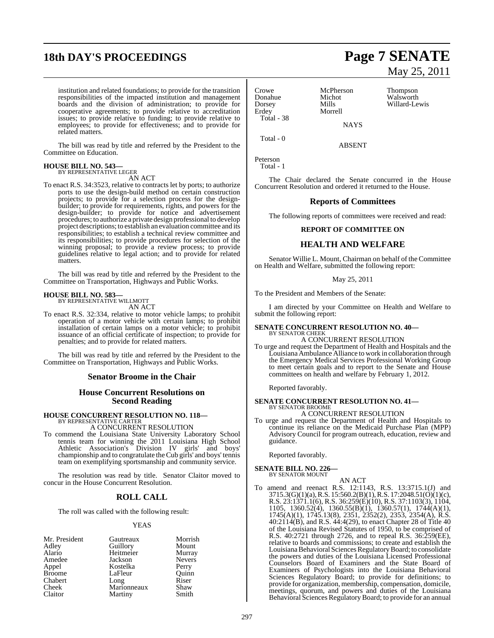## **18th DAY'S PROCEEDINGS Page 7 SENATE**

institution and related foundations; to provide for the transition responsibilities of the impacted institution and management boards and the division of administration; to provide for cooperative agreements; to provide relative to accreditation issues; to provide relative to funding; to provide relative to employees; to provide for effectiveness; and to provide for related matters.

The bill was read by title and referred by the President to the Committee on Education.

#### **HOUSE BILL NO. 543—** BY REPRESENTATIVE LEGER

AN ACT

To enact R.S. 34:3523, relative to contracts let by ports; to authorize ports to use the design-build method on certain construction projects; to provide for a selection process for the designbuilder; to provide for requirements, rights, and powers for the design-builder; to provide for notice and advertisement procedures; to authorize a private design professional to develop project descriptions; to establish an evaluation committee and its responsibilities; to establish a technical review committee and its responsibilities; to provide procedures for selection of the winning proposal; to provide a review process; to provide guidelines relative to legal action; and to provide for related matters.

The bill was read by title and referred by the President to the Committee on Transportation, Highways and Public Works.

## **HOUSE BILL NO. 583—** BY REPRESENTATIVE WILLMOTT

AN ACT

To enact R.S. 32:334, relative to motor vehicle lamps; to prohibit operation of a motor vehicle with certain lamps; to prohibit installation of certain lamps on a motor vehicle; to prohibit issuance of an official certificate of inspection; to provide for penalties; and to provide for related matters.

The bill was read by title and referred by the President to the Committee on Transportation, Highways and Public Works.

### **Senator Broome in the Chair**

### **House Concurrent Resolutions on Second Reading**

# **HOUSE CONCURRENT RESOLUTION NO. 118—** BY REPRESENTATIVE CARTER A CONCURRENT RESOLUTION

To commend the Louisiana State University Laboratory School tennis team for winning the 2011 Louisiana High School Athletic Association's Division IV girls' and boys' championship and to congratulate theCub girls' and boys' tennis team on exemplifying sportsmanship and community service.

The resolution was read by title. Senator Claitor moved to concur in the House Concurrent Resolution.

### **ROLL CALL**

The roll was called with the following result:

### YEAS

| Mr. President | Gautreaux   | Morrish       |
|---------------|-------------|---------------|
| Adley         | Guillory    | Mount         |
| Alario        | Heitmeier   | Murray        |
| Amedee        | Jackson     | <b>Nevers</b> |
| Appel         | Kostelka    | Perry         |
| <b>Broome</b> | LaFleur     | Ouinn         |
| Chabert       | Long        | Riser         |
| Cheek         | Marionneaux | Shaw          |
| Claitor       | Martiny     | Smith         |

### Crowe McPherson Thompson<br>
Donahue Michot Walsworth Donahue Michot Walsworth<br>Dorsey Mills Willard-Le Dorsey Mills Willard-Lewis Total - 38

Morrell **NAYS** 

May 25, 2011

Total - 0

ABSENT

Peterson Total - 1

The Chair declared the Senate concurred in the House Concurrent Resolution and ordered it returned to the House.

### **Reports of Committees**

The following reports of committees were received and read:

### **REPORT OF COMMITTEE ON**

### **HEALTH AND WELFARE**

Senator Willie L. Mount, Chairman on behalf of the Committee on Health and Welfare, submitted the following report:

### May 25, 2011

To the President and Members of the Senate:

I am directed by your Committee on Health and Welfare to submit the following report:

#### **SENATE CONCURRENT RESOLUTION NO. 40—** BY SENATOR CHEEK A CONCURRENT RESOLUTION

To urge and request the Department of Health and Hospitals and the LouisianaAmbulance Alliance to work in collaboration through the Emergency Medical Services Professional Working Group to meet certain goals and to report to the Senate and House committees on health and welfare by February 1, 2012.

Reported favorably.

#### **SENATE CONCURRENT RESOLUTION NO. 41—** BY SENATOR BROOME

### A CONCURRENT RESOLUTION

To urge and request the Department of Health and Hospitals to continue its reliance on the Medicaid Purchase Plan (MPP) Advisory Council for program outreach, education, review and guidance.

Reported favorably.

### **SENATE BILL NO. 226—** BY SENATOR MOUNT

AN ACT

To amend and reenact R.S. 12:1143, R.S. 13:3715.1(J) and 3715.3(G)(1)(a), R.S. 15:560.2(B)(1), R.S. 17:2048.51(O)(1)(c), R.S. 23:1371.1(6), R.S. 36:259(E)(10), R.S. 37:1103(3), 1104, 1105, 1360.52(4), 1360.55(B)(1), 1360.57(1), 1744(A)(1), 1745(A)(1), 1745.13(8), 2351, 2352(2), 2353, 2354(A), R.S. 40:2114(B), and R.S. 44:4(29), to enact Chapter 28 of Title 40 of the Louisiana Revised Statutes of 1950, to be comprised of R.S. 40:2721 through 2726, and to repeal R.S. 36:259(EE), relative to boards and commissions; to create and establish the Louisiana Behavioral Sciences Regulatory Board; to consolidate the powers and duties of the Louisiana Licensed Professional Counselors Board of Examiners and the State Board of Examiners of Psychologists into the Louisiana Behavioral Sciences Regulatory Board; to provide for definitions; to provide for organization, membership, compensation, domicile, meetings, quorum, and powers and duties of the Louisiana Behavioral Sciences RegulatoryBoard; to provide for an annual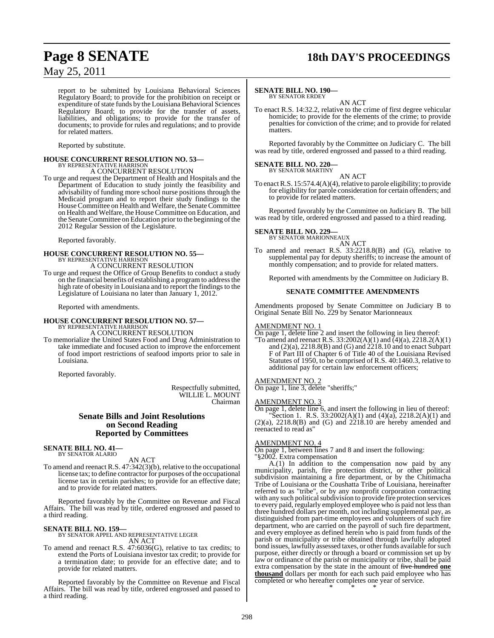## **Page 8 SENATE 18th DAY'S PROCEEDINGS**

### May 25, 2011

report to be submitted by Louisiana Behavioral Sciences Regulatory Board; to provide for the prohibition on receipt or expenditure of state funds by the Louisiana Behavioral Sciences Regulatory Board; to provide for the transfer of assets, liabilities, and obligations; to provide for the transfer of documents; to provide for rules and regulations; and to provide for related matters.

Reported by substitute.

### **HOUSE CONCURRENT RESOLUTION NO. 53—** BY REPRESENTATIVE HARRISON A CONCURRENT RESOLUTION

To urge and request the Department of Health and Hospitals and the Department of Education to study jointly the feasibility and advisability of funding more school nurse positions through the Medicaid program and to report their study findings to the House Committee on Health and Welfare, the Senate Committee on Health and Welfare, the House Committee on Education, and the Senate Committee on Education prior to the beginning of the 2012 Regular Session of the Legislature.

Reported favorably.

### **HOUSE CONCURRENT RESOLUTION NO. 55—** BY REPRESENTATIVE HARRISON A CONCURRENT RESOLUTION

To urge and request the Office of Group Benefits to conduct a study on the financial benefits of establishing a programto addressthe high rate of obesity in Louisiana and to report the findings to the Legislature of Louisiana no later than January 1, 2012.

Reported with amendments.

#### **HOUSE CONCURRENT RESOLUTION NO. 57—** BY REPRESENTATIVE HARRISON A CONCURRENT RESOLUTION

To memorialize the United States Food and Drug Administration to take immediate and focused action to improve the enforcement of food import restrictions of seafood imports prior to sale in Louisiana.

Reported favorably.

Respectfully submitted, WILLIE L. MOUNT Chairman

### **Senate Bills and Joint Resolutions on Second Reading Reported by Committees**

#### **SENATE BILL NO. 41—** BY SENATOR ALARIO

AN ACT

To amend and reenact R.S. 47:342(3)(b), relative to the occupational license tax; to define contractor for purposes of the occupational license tax in certain parishes; to provide for an effective date; and to provide for related matters.

Reported favorably by the Committee on Revenue and Fiscal Affairs. The bill was read by title, ordered engrossed and passed to a third reading.

### **SENATE BILL NO. 159—**

BY SENATOR APPEL AND REPRESENTATIVE LEGER AN ACT

To amend and reenact R.S. 47:6036(G), relative to tax credits; to extend the Ports of Louisiana investor tax credit; to provide for a termination date; to provide for an effective date; and to provide for related matters.

Reported favorably by the Committee on Revenue and Fiscal Affairs. The bill was read by title, ordered engrossed and passed to a third reading.

#### **SENATE BILL NO. 190—** BY SENATOR ERDEY

AN ACT

To enact R.S. 14:32.2, relative to the crime of first degree vehicular homicide; to provide for the elements of the crime; to provide penalties for conviction of the crime; and to provide for related matters.

Reported favorably by the Committee on Judiciary C. The bill was read by title, ordered engrossed and passed to a third reading.

## **SENATE BILL NO. 220—** BY SENATOR MARTINY

AN ACT To enact R.S. 15:574.4(A)(4), relative to parole eligibility; to provide for eligibility for parole consideration for certain offenders; and to provide for related matters.

Reported favorably by the Committee on Judiciary B. The bill was read by title, ordered engrossed and passed to a third reading.

#### **SENATE BILL NO. 229—** BY SENATOR MARIONNEAUX

AN ACT

To amend and reenact R.S. 33:2218.8(B) and (G), relative to supplemental pay for deputy sheriffs; to increase the amount of monthly compensation; and to provide for related matters.

Reported with amendments by the Committee on Judiciary B.

### **SENATE COMMITTEE AMENDMENTS**

Amendments proposed by Senate Committee on Judiciary B to Original Senate Bill No. 229 by Senator Marionneaux

### AMENDMENT NO. 1

On page 1, delete line 2 and insert the following in lieu thereof: "To amend and reenact R.S.  $33:2002(A)(1)$  and  $\bar{A}(4)(a)$ ,  $2218.2(A)(1)$ and  $(2)(a)$ ,  $2218.8(B)$  and  $(G)$  and  $2218.10$  and to enact Subpart F of Part III of Chapter 6 of Title 40 of the Louisiana Revised Statutes of 1950, to be comprised of R.S. 40:1460.3, relative to additional pay for certain law enforcement officers;

### AMENDMENT NO. 2

On page 1, line 3, delete "sheriffs;"

### AMENDMENT NO. 3

On page 1, delete line 6, and insert the following in lieu of thereof: "Section 1. R.S.  $33:2002(A)(1)$  and  $(4)(a)$ ,  $2218.2(A)(1)$  and  $(2)(a)$ ,  $2218.8(B)$  and  $(G)$  and  $2218.10$  are hereby amended and reenacted to read as"

### AMENDMENT NO. 4

On page 1, between lines 7 and 8 and insert the following: "§2002. Extra compensation

A.(1) In addition to the compensation now paid by any municipality, parish, fire protection district, or other political subdivision maintaining a fire department, or by the Chitimacha Tribe of Louisiana or the Coushatta Tribe of Louisiana, hereinafter referred to as "tribe", or by any nonprofit corporation contracting with any such political subdivision to provide fire protection services to every paid, regularly employed employee who is paid not lessthan three hundred dollars per month, not including supplemental pay, as distinguished from part-time employees and volunteers of such fire department, who are carried on the payroll of such fire department, and every employee as defined herein who is paid from funds of the parish or municipality or tribe obtained through lawfully adopted bond issues, lawfully assessed taxes, or other funds available for such purpose, either directly or through a board or commission set up by law or ordinance of the parish or municipality or tribe, shall be paid extra compensation by the state in the amount of five hundred **one thousand** dollars per month for each such paid employee who has completed or who hereafter completes one year of service. \* \* \*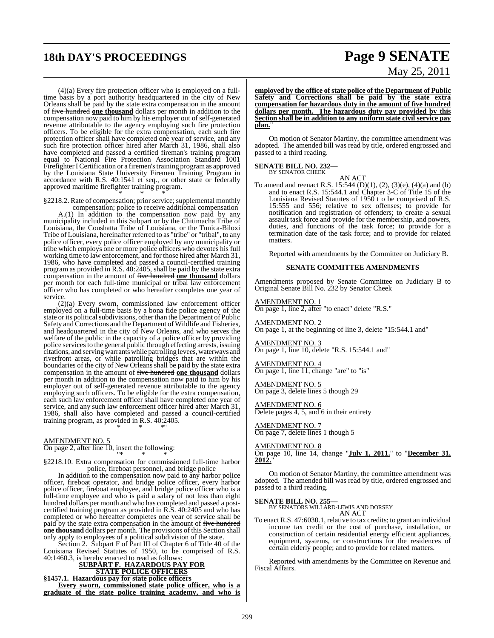## **18th DAY'S PROCEEDINGS Page 9 SENATE**

(4)(a) Every fire protection officer who is employed on a fulltime basis by a port authority headquartered in the city of New Orleans shall be paid by the state extra compensation in the amount of five hundred **one thousand** dollars per month in addition to the compensation now paid to him by his employer out of self-generated revenue attributable to the agency employing such fire protection officers. To be eligible for the extra compensation, each such fire protection officer shall have completed one year of service, and any such fire protection officer hired after March 31, 1986, shall also have completed and passed a certified fireman's training program equal to National Fire Protection Association Standard 1001 Firefighter I Certification or a firemen's training program as approved by the Louisiana State University Firemen Training Program in accordance with R.S. 40:1541 et seq., or other state or federally approved maritime firefighter training program. \* \* \*

§2218.2. Rate of compensation; prior service; supplemental monthly compensation; police to receive additional compensation

A.(1) In addition to the compensation now paid by any municipality included in this Subpart or by the Chitimacha Tribe of Louisiana, the Coushatta Tribe of Louisiana, or the Tunica-Biloxi Tribe of Louisiana, hereinafter referred to as "tribe" or "tribal", to any police officer, every police officer employed by any municipality or tribe which employs one or more police officers who devotes his full working time to law enforcement, and for those hired after March 31, 1986, who have completed and passed a council-certified training program as provided in R.S. 40:2405, shall be paid by the state extra compensation in the amount of five hundred **one thousand** dollars per month for each full-time municipal or tribal law enforcement officer who has completed or who hereafter completes one year of service.

(2)(a) Every sworn, commissioned law enforcement officer employed on a full-time basis by a bona fide police agency of the state or its political subdivisions, other than the Department of Public Safety and Corrections and the Department of Wildlife and Fisheries, and headquartered in the city of New Orleans, and who serves the welfare of the public in the capacity of a police officer by providing police servicesto the general public through effecting arrests, issuing citations, and servingwarrantswhile patrolling levees, waterways and riverfront areas, or while patrolling bridges that are within the boundaries of the city of New Orleans shall be paid by the state extra compensation in the amount of five hundred **one thousand** dollars per month in addition to the compensation now paid to him by his employer out of self-generated revenue attributable to the agency employing such officers. To be eligible for the extra compensation, each such law enforcement officer shall have completed one year of service, and any such law enforcement officer hired after March 31, 1986, shall also have completed and passed a council-certified training program, as provided in R.S. 40:2405.

AMENDMENT NO. 5

On page 2, after line 10, insert the following: "\* \* \*

§2218.10. Extra compensation for commissioned full-time harbor police, fireboat personnel, and bridge police

\* \* \*"

In addition to the compensation now paid to any harbor police officer, fireboat operator, and bridge police officer, every harbor police officer, fireboat employee, and bridge police officer who is a full-time employee and who is paid a salary of not less than eight hundred dollars per month and who has completed and passed a postcertified training program as provided in R.S. 40:2405 and who has completed or who hereafter completes one year of service shall be paid by the state extra compensation in the amount of five hundred **one thousand** dollars per month. The provisions of this Section shall only apply to employees of a political subdivision of the state.

Section 2. Subpart F of Part III of Chapter 6 of Title 40 of the Louisiana Revised Statutes of 1950, to be comprised of R.S. 40:1460.3, is hereby enacted to read as follows:

**SUBPART F. HAZARDOUS PAY FOR STATE POLICE OFFICERS §1457.1. Hazardous pay for state police officers Every sworn, commissioned state police officer, who is a graduate of the state police training academy, and who is**

# May 25, 2011

**employed by the office of state police of the Department of Public Safety and Corrections shall be paid by the state extra compensation for hazardous duty in the amount of five hundred dollars per month. The hazardous duty pay provided by this Section shall be in addition to any uniform state civil service pay** plan.

On motion of Senator Martiny, the committee amendment was adopted. The amended bill was read by title, ordered engrossed and passed to a third reading.

## **SENATE BILL NO. 232—**<br>BY SENATOR CHEEK

AN ACT To amend and reenact R.S. 15:544 (D)(1), (2), (3)(e), (4)(a) and (b) and to enact R.S. 15:544.1 and Chapter 3-C of Title 15 of the Louisiana Revised Statutes of 1950 t o be comprised of R.S. 15:555 and 556; relative to sex offenses; to provide for notification and registration of offenders; to create a sexual assault task force and provide for the membership, and powers, duties, and functions of the task force; to provide for a termination date of the task force; and to provide for related matters.

Reported with amendments by the Committee on Judiciary B.

### **SENATE COMMITTEE AMENDMENTS**

Amendments proposed by Senate Committee on Judiciary B to Original Senate Bill No. 232 by Senator Cheek

AMENDMENT NO. 1

On page 1, line 2, after "to enact" delete "R.S."

AMENDMENT NO. 2 On page 1, at the beginning of line 3, delete "15:544.1 and"

AMENDMENT NO. 3 On page 1, line 10, delete "R.S. 15:544.1 and"

AMENDMENT NO. 4 On page 1, line 11, change "are" to "is"

AMENDMENT NO. 5 On page 3, delete lines 5 though 29

AMENDMENT NO. 6 Delete pages 4, 5, and 6 in their entirety

AMENDMENT NO. 7  $\overline{\text{On page 7, delete lines}}$  1 though 5

AMENDMENT NO. 8 On page 10, line 14, change "**July 1, 2011.**" to "**December 31, 2012.**"

On motion of Senator Martiny, the committee amendment was adopted. The amended bill was read by title, ordered engrossed and passed to a third reading.

### **SENATE BILL NO. 255—**

BY SENATORS WILLARD-LEWIS AND DORSEY AN ACT

To enact R.S. 47:6030.1, relative to tax credits; to grant an individual income tax credit or the cost of purchase, installation, or construction of certain residential energy efficient appliances, equipment, systems, or constructions for the residences of certain elderly people; and to provide for related matters.

Reported with amendments by the Committee on Revenue and Fiscal Affairs.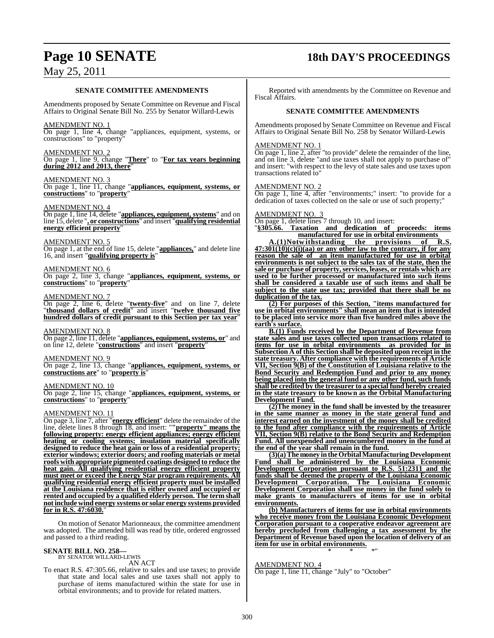## **Page 10 SENATE 18th DAY'S PROCEEDINGS**

### **SENATE COMMITTEE AMENDMENTS**

Amendments proposed by Senate Committee on Revenue and Fiscal Affairs to Original Senate Bill No. 255 by Senator Willard-Lewis

### AMENDMENT NO. 1

On page 1, line 4, change "appliances, equipment, systems, or constructions" to "property"

### AMENDMENT NO. 2

On page 1, line 9, change "**There**" to "**For tax years beginning during 2012 and 2013, there**"

### AMENDMENT NO. 3

On page 1, line 11, change "**appliances, equipment, systems, or constructions**" to "**property**"

### AMENDMENT NO. 4

On page 1, line 14, delete "**appliances, equipment, systems**" and on line 15, delete "**, or constructions**" and insert "**qualifying residential energy efficient property**"

### AMENDMENT NO. 5

On page 1, at the end of line 15, delete "**appliances,**" and delete line 16, and insert "**qualifying property is**"

### AMENDMENT NO. 6

On page 2, line 3, change "**appliances, equipment, systems, or constructions**" to "**property**"

### AMENDMENT NO. 7

On page 2, line 6, delete "**twenty-five**" and on line 7, delete "**thousand dollars of credit**" and insert "**twelve thousand five hundred dollars of credit pursuant to this Section per tax year**"

### AMENDMENT NO. 8

On page 2, line 11, delete "**appliances, equipment, systems, or**" and on line 12, delete "**constructions**" and insert "**property**"

### AMENDMENT NO. 9

On page 2, line 13, change "**appliances, equipment, systems, or constructions are**" to "**property is**"

### AMENDMENT NO. 10

On page 2, line 15, change "**appliances, equipment, systems, or constructions**" to "**property**"

### AMENDMENT NO. 11

On page 3, line 7, after "**energy efficient**" delete the remainder of the line, delete lines 8 through 18, and insert: "**"property" means the following property: energy efficient appliances; energy efficient heating or cooling systems; insulation material specifically designed to reduce the heat gain or loss of a residential property; exterior windows; exterior doors; and roofing materials or metal roofs with appropriate pigmented coatings designed to reduce the heat gain. All qualifying residential energy efficient property must meet or exceed the Energy Star program requirements. All qualifying residential energy efficient property must be installed at the Louisiana residence that is either owned and occupied or rented and occupied by a qualified elderly person. The term shall notinclude wind energy systems or solar energy systems provided for in R.S. 47:6030.**"

On motion of Senator Marionneaux, the committee amendment was adopted. The amended bill was read by title, ordered engrossed and passed to a third reading.

### **SENATE BILL NO. 258—**

BY SENATOR WILLARD-LEWIS AN ACT

To enact R.S. 47:305.66, relative to sales and use taxes; to provide that state and local sales and use taxes shall not apply to purchase of items manufactured within the state for use in orbital environments; and to provide for related matters.

Reported with amendments by the Committee on Revenue and Fiscal Affairs.

### **SENATE COMMITTEE AMENDMENTS**

Amendments proposed by Senate Committee on Revenue and Fiscal Affairs to Original Senate Bill No. 258 by Senator Willard-Lewis

### AMENDMENT NO. 1

On page 1, line 2, after "to provide" delete the remainder of the line, and on line 3, delete "and use taxes shall not apply to purchase of" and insert: "with respect to the levy of state sales and use taxes upon transactions related to"

### AMENDMENT NO. 2

On page 1, line 4, after "environments;" insert: "to provide for a dedication of taxes collected on the sale or use of such property;"

### AMENDMENT NO. 3

On page 1, delete lines 7 through 10, and insert:<br>"\$305.66. Taxation and dedication of

"**§305.66. Taxation and dedication of proceeds: items manufactured for use in orbital environments** 

**A.(1)Notw ithstanding the provisions of R.S. 47:301(10)(c)(i)(aa) or any other law to the contrary, if for any reason the sale of an item manufactured for use in orbital environments is not subject to the sales tax of the state, then the sale or purchase of property,services, leases, or rentals which are used to be further processed or manufactured into such items shall be considered a taxable use of such items and shall be subject to the state use tax; provided that there shall be no duplication of the tax.**

**(2) For purposes of this Section, "items manufactured for use in orbital environments" shall mean an item that is intended to be placed into service more than five hundred miles above the earth's surface.**

**B.(1) Funds received by the Department of Revenue from state sales and use taxes collected upon transactions related to items for use in orbital environments as provided for in Subsection A of this Section shall be deposited upon receipt in the state treasury. After compliance with the requirements of Article VII, Section 9(B) of the Constitution of Louisiana relative to the Bond Security and Redemption Fund and prior to any money being placed into the general fund or any other fund, such funds shall be credited by the treasurer to a special fund hereby created in the state treasury to be known as the Orbital Manufacturing Development Fund.**

**(2)The money in the fund shall be invested by the treasurer in the same manner as money in the state general fund and interest earned on the investment of the money shall be credited to the fund after compliance with the requirements of Article VII, Section 9(B) relative to the Bond Security and Redemption Fund. All unexpended and unencumbered money in the fund at the end of the year shall remain in the fund.**

**(3)(a) The money in the Orbital Manufacturing Development Fund shall be administered by the Louisiana Economic Development Corporation pursuant to R.S. 51:2311 and the funds shall be deemed the property of the Louisiana Economic Development Corporation. The Louisiana Economic Development Corporation shall use money in the fund solely to make grants to manufacturers of items for use in orbital environments.**

**(b) Manufacturers of items for use in orbital environments who receive money from the Louisiana Economic Development Corporation pursuant to a cooperative endeavor agreement are hereby precluded from challenging a tax assessment by the Department of Revenue based upon the location of delivery of an item for use in orbital environments.** \* \* \*"

### AMENDMENT NO. 4

On page 1, line 11, change "July" to "October"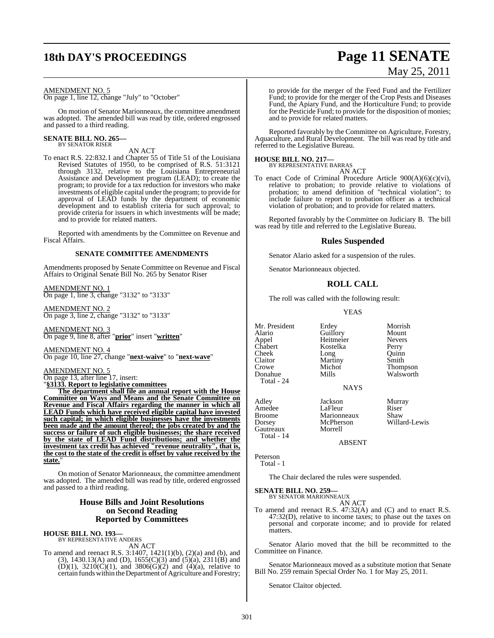## **18th DAY'S PROCEEDINGS Page 11 SENATE**

#### AMENDMENT NO. 5

On page 1, line 12, change "July" to "October"

On motion of Senator Marionneaux, the committee amendment was adopted. The amended bill was read by title, ordered engrossed and passed to a third reading.

### **SENATE BILL NO. 265—** BY SENATOR RISER

AN ACT

To enact R.S. 22:832.1 and Chapter 55 of Title 51 of the Louisiana Revised Statutes of 1950, to be comprised of R.S. 51:3121 through 3132, relative to the Louisiana Entrepreneurial Assistance and Development program (LEAD); to create the program; to provide for a tax reduction for investors who make investments of eligible capital under the program; to provide for approval of LEAD funds by the department of economic development and to establish criteria for such approval; to provide criteria for issuers in which investments will be made; and to provide for related matters.

Reported with amendments by the Committee on Revenue and Fiscal Affairs.

### **SENATE COMMITTEE AMENDMENTS**

Amendments proposed by Senate Committee on Revenue and Fiscal Affairs to Original Senate Bill No. 265 by Senator Riser

AMENDMENT NO. 1 On page 1, line 3, change "3132" to "3133"

AMENDMENT NO. 2 On page 3, line 2, change "3132" to "3133"

AMENDMENT NO. 3 On page 9, line 8, after "**prior**" insert "**written**"

AMENDMENT NO. 4 On page 10, line 27, change "**next-waive**" to "**next-wave**"

AMENDMENT NO. 5 On page 13, after line 17, insert:

"**§3133. Report to legislative committees**

**The department shall file an annual report with the House Committee on Ways and Means and the Senate Committee on Revenue and Fiscal Affairs regarding the manner in which all LEAD Funds which have received eligible capital have invested such capital; in which eligible businesses have the investments been made and the amount thereof; the jobs created by and the success or failure of such eligible businesses; the share received by the state of LEAD Fund distributions; and whether the investment tax credit has achieved "revenue neutrality", that is, the cost to the state of the credit is offset by value received by the** state.

On motion of Senator Marionneaux, the committee amendment was adopted. The amended bill was read by title, ordered engrossed and passed to a third reading.

### **House Bills and Joint Resolutions on Second Reading Reported by Committees**

#### **HOUSE BILL NO. 193—**

BY REPRESENTATIVE ANDERS

AN ACT To amend and reenact R.S. 3:1407, 1421(1)(b), (2)(a) and (b), and (3), 1430.13(A) and (D), 1655(C)(3) and (5)(a), 2311(B) and (D)(1),  $3210(C)(1)$ , and  $3806(G)(2)$  and  $(4)(a)$ , relative to certain funds within the Department of Agriculture and Forestry;

# May 25, 2011

to provide for the merger of the Feed Fund and the Fertilizer Fund; to provide for the merger of the Crop Pests and Diseases Fund, the Apiary Fund, and the Horticulture Fund; to provide for the Pesticide Fund; to provide for the disposition of monies; and to provide for related matters.

Reported favorably by the Committee on Agriculture, Forestry, Aquaculture, and Rural Development. The bill was read by title and referred to the Legislative Bureau.

### **HOUSE BILL NO. 217—**

BY REPRESENTATIVE BARRAS AN ACT

To enact Code of Criminal Procedure Article 900(A)(6)(c)(vi), relative to probation; to provide relative to violations of probation; to amend definition of "technical violation"; to include failure to report to probation officer as a technical violation of probation; and to provide for related matters.

Reported favorably by the Committee on Judiciary B. The bill was read by title and referred to the Legislative Bureau.

### **Rules Suspended**

Senator Alario asked for a suspension of the rules.

Senator Marionneaux objected.

### **ROLL CALL**

The roll was called with the following result:

YEAS

Appel Heitmeier Never<br>Chabert Kostelka Perry Cheek<br>Claitor Claitor Martiny Smith<br>Crowe Michot Thom Crowe Michot Thompson<br>
Donahue Mills Walsworth Total - 24

Mr. President Erdey Morrish<br>Alario Guillory Mount Erdey Morrisl<br>
Guillory Mount<br>
Heitmeier Nevers Kostelka Perry<br>Long Quinn Walsworth

NAYS

Adley Jackson Murray Amedee LaFleur Riser<br>Broome Marionneaux Shaw Broome Marionneaux<br>Dorsey McPherson McPherson Willard-Lewis<br>Morrell

ABSENT

Peterson Total - 1

matters.

Gautreaux Total - 14

The Chair declared the rules were suspended.

**SENATE BILL NO. 259—** BY SENATOR MARIONNEAUX

AN ACT To amend and reenact R.S. 47:32(A) and (C) and to enact R.S. 47:32(D), relative to income taxes; to phase out the taxes on personal and corporate income; and to provide for related

Senator Alario moved that the bill be recommitted to the Committee on Finance.

Senator Marionneaux moved as a substitute motion that Senate Bill No. 259 remain Special Order No. 1 for May 25, 2011.

Senator Claitor objected.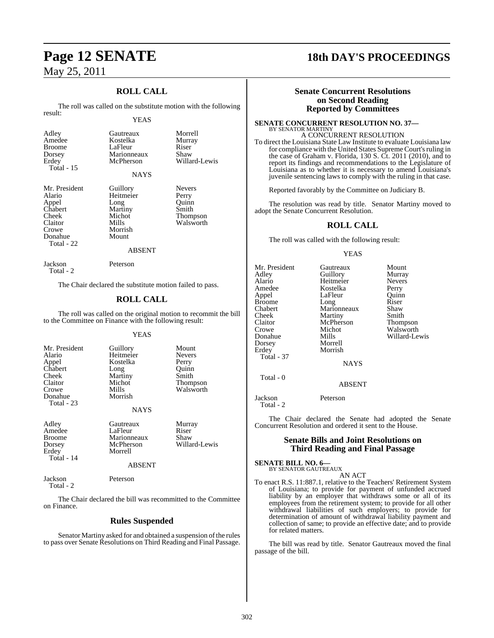### **ROLL CALL**

The roll was called on the substitute motion with the following result:

### YEAS

Kostelka

Gautreaux Morrell<br>Kostelka Murray

Willard-Lewis

Walsworth

LaFleur Riser<br>Marionneaux Shaw

| Mr. President |
|---------------|
| Alario        |
| Appel         |
| Chabert       |
| Cheek         |
| Claitor       |
| Crowe         |
| Donahue       |
| Total - 22    |

Marionneaux<br>McPherson **NAYS** Guillory Nevers<br>
Heitmeier Perry Heitmeier Perry<br>
Long Ouinn Long Quinn<br>
Martiny Smith Martiny<br>Michot Michot Thompson<br>Mills Walsworth Morrish Mount

#### ABSENT

Jackson Peterson Total - 2

The Chair declared the substitute motion failed to pass.

### **ROLL CALL**

The roll was called on the original motion to recommit the bill to the Committee on Finance with the following result:

### YEAS

| Mr. President<br>Alario<br>Appel<br>Chabert<br>Cheek<br>Claitor<br>Crowe<br>Donahue<br>Total - 23 | Guillory<br>Heitmeier<br>Kostelka<br>Long<br>Martiny<br>Michot<br>Mills<br>Morrish<br><b>NAYS</b> | Mount<br><b>Nevers</b><br>Perry<br>Ouinn<br>Smith<br>Thompson<br>Walsworth |
|---------------------------------------------------------------------------------------------------|---------------------------------------------------------------------------------------------------|----------------------------------------------------------------------------|
| Adley<br>Amedee<br><b>Broome</b><br>Dorsey<br>Erdey<br>Total - 14                                 | Gautreaux<br>LaFleur<br>Marionneaux<br>McPherson<br>Morrell<br><b>ABSENT</b>                      | Murray<br>Riser<br>Shaw<br>Willard-Lewis                                   |

Jackson Peterson Total - 2

The Chair declared the bill was recommitted to the Committee on Finance.

### **Rules Suspended**

Senator Martiny asked for and obtained a suspension of the rules to pass over Senate Resolutions on Third Reading and Final Passage.

### **Page 12 SENATE 18th DAY'S PROCEEDINGS**

### **Senate Concurrent Resolutions on Second Reading Reported by Committees**

#### **SENATE CONCURRENT RESOLUTION NO. 37—** BY SENATOR MARTINY A CONCURRENT RESOLUTION

To direct the Louisiana State Law Institute to evaluate Louisiana law for compliance with the United States Supreme Court's ruling in the case of Graham v. Florida, 130 S. Ct. 2011 (2010), and to report its findings and recommendations to the Legislature of Louisiana as to whether it is necessary to amend Louisiana's juvenile sentencing laws to comply with the ruling in that case.

Reported favorably by the Committee on Judiciary B.

The resolution was read by title. Senator Martiny moved to adopt the Senate Concurrent Resolution.

### **ROLL CALL**

The roll was called with the following result:

### YEAS

| Mr. President     | Gautreaux     | Mount           |
|-------------------|---------------|-----------------|
| Adley             | Guillory      | Murray          |
| Alario            | Heitmeier     | <b>Nevers</b>   |
| Amedee            | Kostelka      | Perry           |
| Appel             | LaFleur       | Ouinn           |
| <b>Broome</b>     | Long          | Riser           |
| Chabert           | Marionneaux   | Shaw            |
| Cheek             | Martiny       | Smith           |
| Claitor           | McPherson     | <b>Thompson</b> |
| Crowe             | Michot        | Walsworth       |
| Donahue           | Mills         | Willard-Lewis   |
| Dorsey            | Morrell       |                 |
| Erdey             | Morrish       |                 |
| <b>Total - 37</b> |               |                 |
|                   | <b>NAYS</b>   |                 |
| Total - 0         |               |                 |
|                   | <b>ABSENT</b> |                 |

Jackson Peterson Total - 2

The Chair declared the Senate had adopted the Senate Concurrent Resolution and ordered it sent to the House.

### **Senate Bills and Joint Resolutions on Third Reading and Final Passage**

### **SENATE BILL NO. 6—** BY SENATOR GAUTREAUX

AN ACT

To enact R.S. 11:887.1, relative to the Teachers' Retirement System of Louisiana; to provide for payment of unfunded accrued liability by an employer that withdraws some or all of its employees from the retirement system; to provide for all other withdrawal liabilities of such employers; to provide for determination of amount of withdrawal liability payment and collection of same; to provide an effective date; and to provide for related matters.

The bill was read by title. Senator Gautreaux moved the final passage of the bill.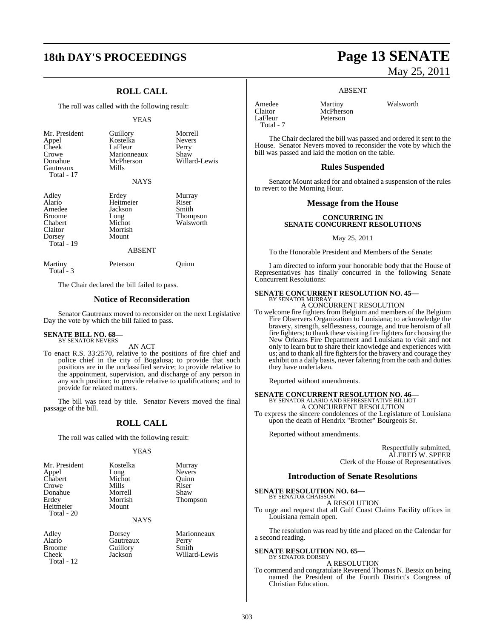## **18th DAY'S PROCEEDINGS Page 13 SENATE**

### **ROLL CALL**

The roll was called with the following result:

#### YEAS

| Mr. President<br>Appel<br>Cheek<br>Crowe<br>Donahue<br>Gautreaux<br>Total - 17 | Guillory<br>Kostelka<br>LaFleur<br>Marionneaux<br>McPherson<br>Mills | Morrell<br><b>Nevers</b><br>Perry<br>Shaw<br>Willard-Lewis |
|--------------------------------------------------------------------------------|----------------------------------------------------------------------|------------------------------------------------------------|
|                                                                                | <b>NAYS</b>                                                          |                                                            |
| Adley<br>Alario<br>Amedee<br><b>Broome</b><br>Chabert                          | Erdey<br>Heitmeier<br>Jackson<br>Long<br>Michot                      | Murray<br>Riser<br>Smith<br>Thompson<br>Walsworth          |

Claitor Morrish Total - 19 ABSENT Martiny Peterson Quinn

Total - 3

Dorsey

The Chair declared the bill failed to pass.

### **Notice of Reconsideration**

Senator Gautreaux moved to reconsider on the next Legislative Day the vote by which the bill failed to pass.

### **SENATE BILL NO. 68—** BY SENATOR NEVERS

AN ACT

To enact R.S. 33:2570, relative to the positions of fire chief and police chief in the city of Bogalusa; to provide that such positions are in the unclassified service; to provide relative to the appointment, supervision, and discharge of any person in any such position; to provide relative to qualifications; and to provide for related matters.

The bill was read by title. Senator Nevers moved the final passage of the bill.

### **ROLL CALL**

The roll was called with the following result:

#### YEAS

| Mr. President | Kostelka | Murray        |
|---------------|----------|---------------|
| Appel         | Long     | <b>Nevers</b> |
| Chabert       | Michot   | Quinn         |
| Crowe         | Mills    | Riser         |
| Donahue       | Morrell  | Shaw          |
| Erdey         | Morrish  | Thompson      |
| Heitmeier     | Mount    |               |
| Total - 20    |          |               |

NAYS

Broome Guillory Smith<br>Cheek Jackson Willar Total - 12

Adley Dorsey Marionneaux Gautreaux

Willard-Lewis

# May 25, 2011

#### ABSENT

| Amedee    | Martiny   |
|-----------|-----------|
| Claitor   | McPherson |
| LaFleur   | Peterson  |
| Total - 7 |           |

Martiny Walsworth

The Chair declared the bill was passed and ordered it sent to the House. Senator Nevers moved to reconsider the vote by which the bill was passed and laid the motion on the table.

### **Rules Suspended**

Senator Mount asked for and obtained a suspension of the rules to revert to the Morning Hour.

### **Message from the House**

### **CONCURRING IN SENATE CONCURRENT RESOLUTIONS**

May 25, 2011

To the Honorable President and Members of the Senate:

I am directed to inform your honorable body that the House of Representatives has finally concurred in the following Senate Concurrent Resolutions:

#### **SENATE CONCURRENT RESOLUTION NO. 45—** BY SENATOR MURRAY

A CONCURRENT RESOLUTION

To welcome fire fighters from Belgium and members of the Belgium Fire Observers Organization to Louisiana; to acknowledge the bravery, strength, selflessness, courage, and true heroism of all fire fighters; to thank these visiting fire fighters for choosing the New Orleans Fire Department and Louisiana to visit and not only to learn but to share their knowledge and experiences with us; and to thank all fire fighters for the bravery and courage they exhibit on a daily basis, never faltering from the oath and duties they have undertaken.

Reported without amendments.

# **SENATE CONCURRENT RESOLUTION NO. 46—**<br>BY SENATOR ALARIO AND REPRESENTATIVE BILLIOT<br>A CONCURRENT RESOLUTION

To express the sincere condolences of the Legislature of Louisiana upon the death of Hendrix "Brother" Bourgeois Sr.

Reported without amendments.

Respectfully submitted, ALFRED W. SPEER Clerk of the House of Representatives

### **Introduction of Senate Resolutions**

**SENATE RESOLUTION NO. 64—**

BY SENATOR CHAISSON A RESOLUTION

To urge and request that all Gulf Coast Claims Facility offices in Louisiana remain open.

The resolution was read by title and placed on the Calendar for a second reading.

#### **SENATE RESOLUTION NO. 65—** BY SENATOR DORSEY

A RESOLUTION

To commend and congratulate Reverend Thomas N. Bessix on being named the President of the Fourth District's Congress of Christian Education.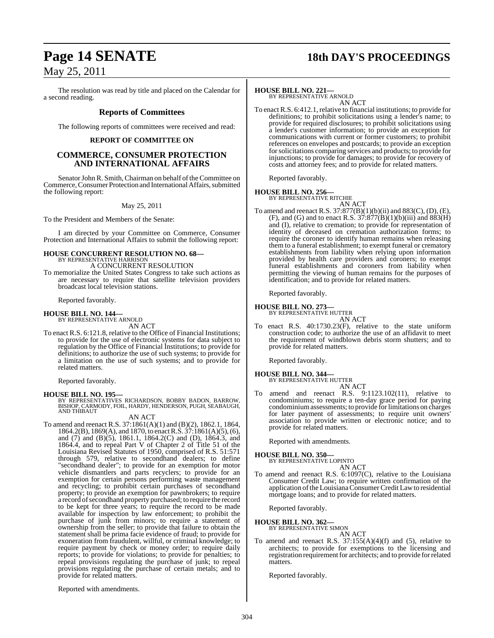## **Page 14 SENATE 18th DAY'S PROCEEDINGS**

### May 25, 2011

The resolution was read by title and placed on the Calendar for a second reading.

### **Reports of Committees**

The following reports of committees were received and read:

### **REPORT OF COMMITTEE ON**

### **COMMERCE, CONSUMER PROTECTION AND INTERNATIONAL AFFAIRS**

Senator John R. Smith, Chairman on behalf of the Committee on Commerce,Consumer Protection and International Affairs, submitted the following report:

### May 25, 2011

To the President and Members of the Senate:

I am directed by your Committee on Commerce, Consumer Protection and International Affairs to submit the following report:

## **HOUSE CONCURRENT RESOLUTION NO. 68—** BY REPRESENTATIVE HARRISON

A CONCURRENT RESOLUTION

To memorialize the United States Congress to take such actions as are necessary to require that satellite television providers broadcast local television stations.

Reported favorably.

## **HOUSE BILL NO. 144—** BY REPRESENTATIVE ARNOLD

AN ACT

To enact R.S. 6:121.8, relative to the Office of Financial Institutions; to provide for the use of electronic systems for data subject to regulation by the Office of Financial Institutions; to provide for definitions; to authorize the use of such systems; to provide for a limitation on the use of such systems; and to provide for related matters.

Reported favorably.

**HOUSE BILL NO. 195—** BY REPRESENTATIVES RICHARDSON, BOBBY BADON, BARROW, BISHOP, CARMODY, FOIL, HARDY, HENDERSON, PUGH, SEABAUGH, AND THIBAUT

### AN ACT

To amend and reenact R.S. 37:1861(A)(1) and (B)(2), 1862.1, 1864, 1864.2(B), 1869(A), and 1870, to enactR.S. 37:1861(A)(5), (6), and (7) and (B)(5), 1861.1, 1864.2(C) and (D), 1864.3, and 1864.4, and to repeal Part V of Chapter 2 of Title 51 of the Louisiana Revised Statutes of 1950, comprised of R.S. 51:571 through 579, relative to secondhand dealers; to define "secondhand dealer"; to provide for an exemption for motor vehicle dismantlers and parts recyclers; to provide for an exemption for certain persons performing waste management and recycling; to prohibit certain purchases of secondhand property; to provide an exemption for pawnbrokers; to require a record of secondhand property purchased; to require the record to be kept for three years; to require the record to be made available for inspection by law enforcement; to prohibit the purchase of junk from minors; to require a statement of ownership from the seller; to provide that failure to obtain the statement shall be prima facie evidence of fraud; to provide for exoneration from fraudulent, willful, or criminal knowledge; to require payment by check or money order; to require daily reports; to provide for violations; to provide for penalties; to repeal provisions regulating the purchase of junk; to repeal provisions regulating the purchase of certain metals; and to provide for related matters.

### **HOUSE BILL NO. 221—**

BY REPRESENTATIVE ARNOLD AN ACT

To enact R.S. 6:412.1, relative to financial institutions; to provide for definitions; to prohibit solicitations using a lender's name; to provide for required disclosures; to prohibit solicitations using a lender's customer information; to provide an exception for communications with current or former customers; to prohibit references on envelopes and postcards; to provide an exception for solicitations comparing services and products; to provide for injunctions; to provide for damages; to provide for recovery of costs and attorney fees; and to provide for related matters.

Reported favorably.

### **HOUSE BILL NO. 256—**

BY REPRESENTATIVE RITCHIE

AN ACT To amend and reenact R.S. 37:877(B)(1)(b)(ii) and 883(C), (D), (E), (F), and (G) and to enact R.S.  $37:877(B)(1)(b)(iii)$  and  $883(H)$ and (I), relative to cremation; to provide for representation of identity of deceased on cremation authorization forms; to require the coroner to identify human remains when releasing them to a funeral establishment; to exempt funeral or crematory establishments from liability when relying upon information provided by health care providers and coroners; to exempt funeral establishments and coroners from liability when permitting the viewing of human remains for the purposes of identification; and to provide for related matters.

Reported favorably.

### **HOUSE BILL NO. 273—** BY REPRESENTATIVE HUTTER

AN ACT

To enact R.S. 40:1730.23(F), relative to the state uniform construction code; to authorize the use of an affidavit to meet the requirement of windblown debris storm shutters; and to provide for related matters.

Reported favorably.

### **HOUSE BILL NO. 344—**

BY REPRESENTATIVE HUTTER AN ACT

To amend and reenact R.S. 9:1123.102(11), relative to condominiums; to require a ten-day grace period for paying condominiumassessments; to provide forlimitations on charges for later payment of assessments; to require unit owners' association to provide written or electronic notice; and to provide for related matters.

Reported with amendments.

### **HOUSE BILL NO. 350—**

BY REPRESENTATIVE LOPINTO AN ACT

To amend and reenact R.S. 6:1097(C), relative to the Louisiana Consumer Credit Law; to require written confirmation of the application of the Louisiana Consumer Credit Law to residential mortgage loans; and to provide for related matters.

Reported favorably.

### **HOUSE BILL NO. 362—**

### BY REPRESENTATIVE SIMON

AN ACT

To amend and reenact R.S.  $37:155(A)(4)(f)$  and  $(5)$ , relative to architects; to provide for exemptions to the licensing and registration requirement for architects; and to provide for related matters.

Reported favorably.

Reported with amendments.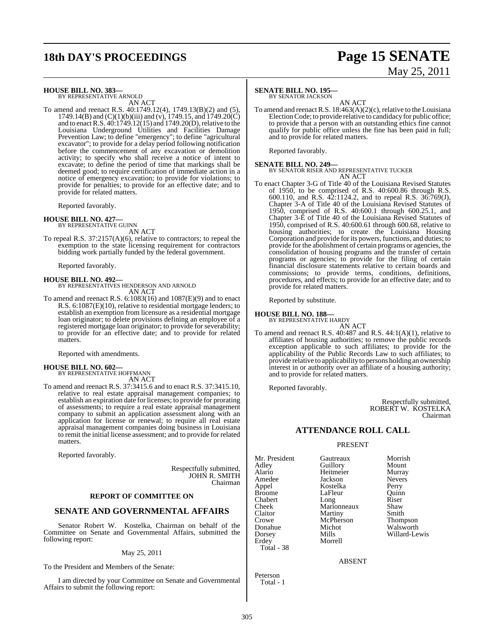## **18th DAY'S PROCEEDINGS Page 15 SENATE**

# May 25, 2011

### **HOUSE BILL NO. 383—** BY REPRESENTATIVE ARNOLD

AN ACT

To amend and reenact R.S. 40:1749.12(4), 1749.13(B)(2) and (5), 1749.14(B) and  $(C)(1)(b)(iii)$  and  $(v)$ , 1749.15, and 1749.20 $\overrightarrow{C}$ and to enact R.S. 40:1749.12(15) and 1749.20(D), relative to the Louisiana Underground Utilities and Facilities Damage Prevention Law; to define "emergency"; to define "agricultural excavator"; to provide for a delay period following notification before the commencement of any excavation or demolition activity; to specify who shall receive a notice of intent to excavate; to define the period of time that markings shall be deemed good; to require certification of immediate action in a notice of emergency excavation; to provide for violations; to provide for penalties; to provide for an effective date; and to provide for related matters.

Reported favorably.

### **HOUSE BILL NO. 427—**

BY REPRESENTATIVE GUINN AN ACT

To repeal R.S. 37:2157(A)(6), relative to contractors; to repeal the exemption to the state licensing requirement for contractors bidding work partially funded by the federal government.

Reported favorably.

**HOUSE BILL NO. 492—** BY REPRESENTATIVES HENDERSON AND ARNOLD AN ACT

To amend and reenact R.S. 6:1083(16) and 1087(E)(9) and to enact R.S. 6:1087(E)(10), relative to residential mortgage lenders; to establish an exemption from licensure as a residential mortgage loan originator; to delete provisions defining an employee of a registered mortgage loan originator; to provide for severability; to provide for an effective date; and to provide for related matters.

Reported with amendments.

### **HOUSE BILL NO. 602—**

BY REPRESENTATIVE HOFFMANN AN ACT

To amend and reenact R.S. 37:3415.6 and to enact R.S. 37:3415.10, relative to real estate appraisal management companies; to establish an expiration date for licenses; to provide for prorating of assessments; to require a real estate appraisal management company to submit an application assessment along with an application for license or renewal; to require all real estate appraisal management companies doing business in Louisiana to remit the initial license assessment; and to provide for related matters.

Reported favorably.

Respectfully submitted, JOHN R. SMITH Chairman

### **REPORT OF COMMITTEE ON**

### **SENATE AND GOVERNMENTAL AFFAIRS**

Senator Robert W. Kostelka, Chairman on behalf of the Committee on Senate and Governmental Affairs, submitted the following report:

### May 25, 2011

To the President and Members of the Senate:

I am directed by your Committee on Senate and Governmental Affairs to submit the following report:

### **SENATE BILL NO. 195—**

BY SENATOR JACKSON

AN ACT To amend and reenactR.S. 18:463(A)(2)(c), relative to the Louisiana Election Code; to provide relative to candidacy for public office; to provide that a person with an outstanding ethics fine cannot qualify for public office unless the fine has been paid in full; and to provide for related matters.

Reported favorably.

**SENATE BILL NO. 249—** BY SENATOR RISER AND REPRESENTATIVE TUCKER AN ACT

To enact Chapter 3-G of Title 40 of the Louisiana Revised Statutes of 1950, to be comprised of R.S. 40:600.86 through R.S. 600.110, and R.S. 42:1124.2, and to repeal R.S. 36:769(J), Chapter 3-A of Title 40 of the Louisiana Revised Statutes of 1950, comprised of R.S. 40:600.1 through 600.25.1, and Chapter 3-E of Title 40 of the Louisiana Revised Statutes of 1950, comprised of R.S. 40:600.61 through 600.68, relative to housing authorities; to create the Louisiana Housing Corporation and provide for its powers, functions, and duties; to provide for the abolishment of certain programs or agencies, the consolidation of housing programs and the transfer of certain programs or agencies; to provide for the filing of certain financial disclosure statements relative to certain boards and commissions; to provide terms, conditions, definitions, procedures, and effects; to provide for an effective date; and to provide for related matters.

Reported by substitute.

### **HOUSE BILL NO. 188—** BY REPRESENTATIVE HARDY

AN ACT

To amend and reenact R.S. 40:487 and R.S. 44:1(A)(1), relative to affiliates of housing authorities; to remove the public records exception applicable to such affiliates; to provide for the applicability of the Public Records Law to such affiliates; to provide relative to applicability to persons holding an ownership interest in or authority over an affiliate of a housing authority; and to provide for related matters.

Reported favorably.

Respectfully submitted, ROBERT W. KOSTELKA Chairman

### **ATTENDANCE ROLL CALL**

#### PRESENT

Mr. President Gautreaux Morrish<br>
Adley Guillory Mount Crowe McPherson<br>Donahue Michot Total - 38

Adley Guillory Mount Alario Heitmeier Murray Jackson Appel Kostelka Perry Broome LaFleur Quinn<br>
Chabert Long Riser Chabert Long Riser<br>
Cheek Marionneaux Shaw Cheek Marionneaux Shaw<br>Claitor Martiny Smith Claitor Martiny Smith Donahue Michot Walsworth Dorsey Mills Willard-Lewis Morrell

ABSENT

Peterson Total - 1